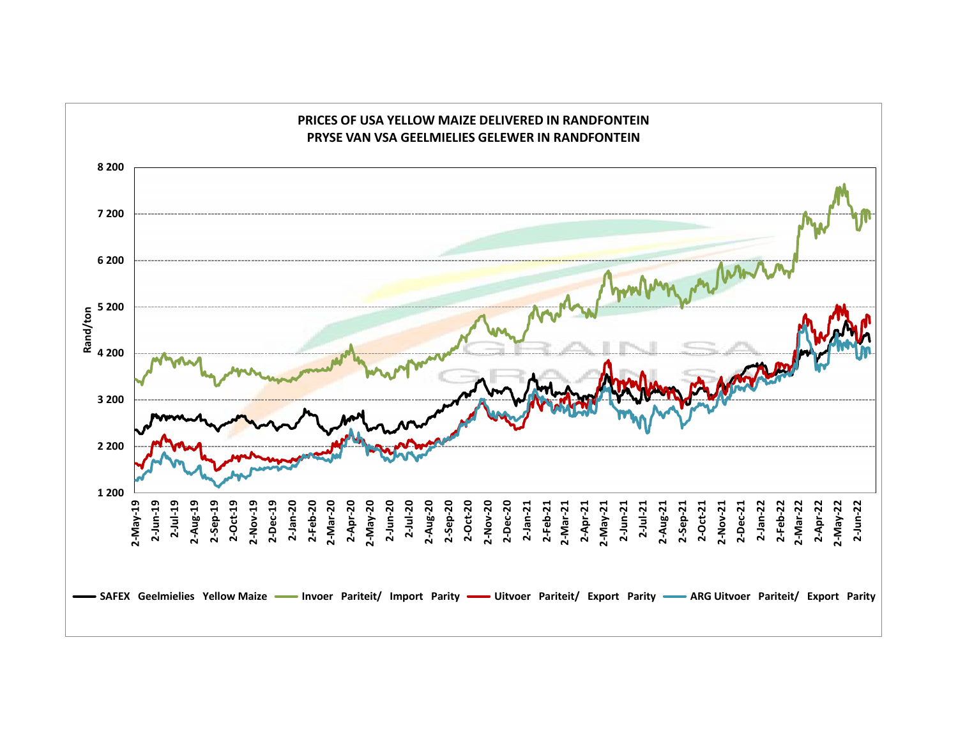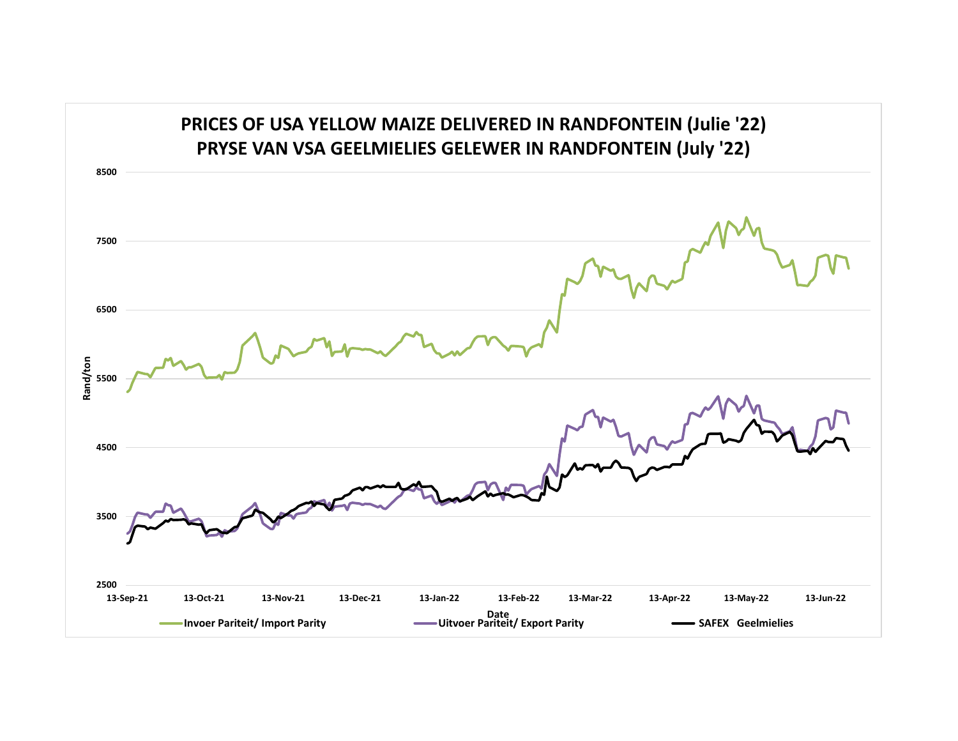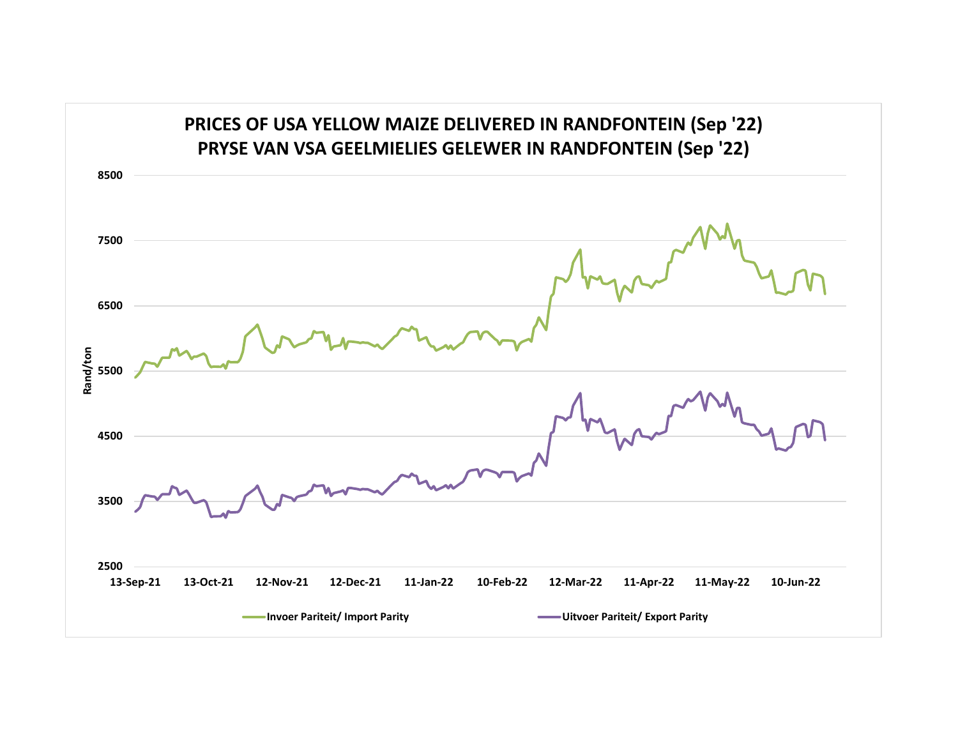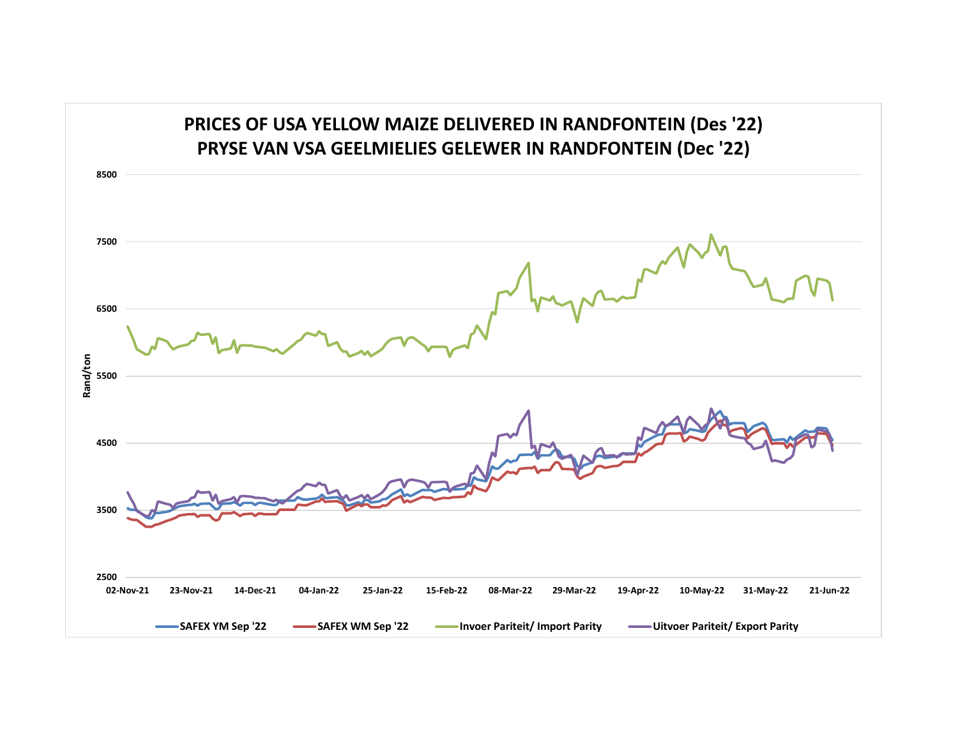